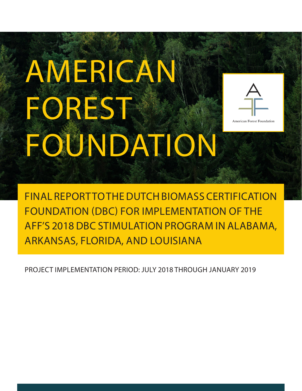# AMERICAN FOREST FOUNDATION



American Forest Foundation

FINAL REPORT TO THE DUTCH BIOMASS CERTIFICATION FOUNDATION (DBC) FOR IMPLEMENTATION OF THE AFF'S 2018 DBC STIMULATION PROGRAM IN ALABAMA, ARKANSAS, FLORIDA, AND LOUISIANA

PROJECT IMPLEMENTATION PERIOD: JULY 2018 THROUGH JANUARY 2019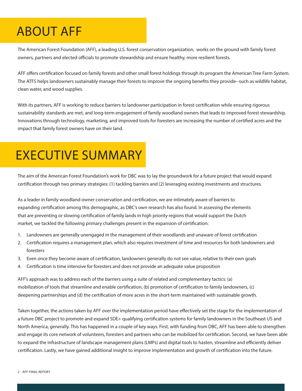# ABOUT AFF

The American Forest Foundation (AFF), a leading U.S. forest conservation organization, works on the ground with family forest owners, partners and elected officials to promote stewardship and ensure healthy, more resilient forests.

AFF offers certification focused on family forests and other small forest holdings through its program the American Tree Farm System. The ATFS helps landowners sustainably manage their forests to improve the ongoing benefits they provide--such as wildlife habitat, clean water, and wood supplies.

With its partners, AFF is working to reduce barriers to landowner participation in forest certification while ensuring rigorous sustainability standards are met, and long-term engagement of family woodland owners that leads to improved forest stewardship. Innovations through technology, marketing, and improved tools for foresters are increasing the number of certified acres and the impact that family forest owners have on their land.

# EXECUTIVE SUMMARY

The aim of the American Forest Foundation's work for DBC was to lay the groundwork for a future project that would expand certification through two primary strategies: (1) tackling barriers and (2) leveraging existing investments and structures.

As a leader in family woodland owner conservation and certification, we are intimately aware of barriers to expanding certification among this demographic, as DBC's own research has also found. In assessing the elements that are preventing or slowing certification of family lands in high priority regions that would support the Dutch market, we tackled the following primary challenges present in the expansion of certification:

- 1. Landowners are generally unengaged in the management of their woodlands and unaware of forest certification
- 2. Certification requires a management plan, which also requires investment of time and resources for both landowners and foresters
- 3. Even once they become aware of certification, landowners generally do not see value, relative to their own goals
- 4. Certification is time intensive for foresters and does not provide an adequate value proposition

AFF's approach was to address each of the barriers using a suite of related and complementary tactics: (a) mobilization of tools that streamline and enable certification, (b) promotion of certification to family landowners, (c) deepening partnerships and (d) the certification of more acres in the short-term maintained with sustainable growth.

Taken together, the actions taken by AFF over the implementation period have effectively set the stage for the implementation of a future DBC project to promote and expand SDE+ qualifying certification systems for family landowners in the Southeast US and North America, generally. This has happened in a couple of key ways. First, with funding from DBC, AFF has been able to strengthen and engage its core network of volunteers, foresters and partners who can be mobilized for certification. Second, we have been able to expand the infrastructure of landscape management plans (LMPs) and digital tools to hasten, streamline and efficiently deliver certification. Lastly, we have gained additional insight to improve implementation and growth of certification into the future.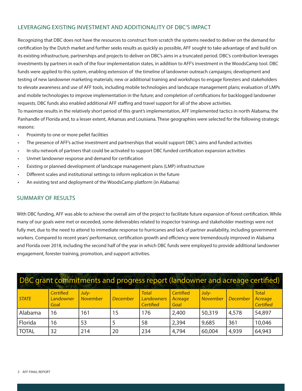#### LEVERAGING EXISTING INVESTMENT AND ADDITIONALITY OF DBC'S IMPACT

Recognizing that DBC does not have the resources to construct from scratch the systems needed to deliver on the demand for certification by the Dutch market and further seeks results as quickly as possible, AFF sought to take advantage of and build on its existing infrastructure, partnerships and projects to deliver on DBC's aims in a truncated period. DBC's contribution leverages investments by partners in each of the four implementation states, in addition to AFF's investment in the WoodsCamp tool. DBC funds were applied to this system, enabling extension of the timeline of landowner outreach campaigns; development and testing of new landowner marketing materials; new or additional training and workshops to engage foresters and stakeholders to elevate awareness and use of AFF tools, including mobile technologies and landscape management plans; evaluation of LMPs and mobile technologies to improve implementation in the future; and completion of certifications for backlogged landowner requests. DBC funds also enabled additional AFF staffing and travel support for all of the above activities. To maximize results in the relatively short period of this grant's implementation, AFF implemented tactics in north Alabama, the

Panhandle of Florida and, to a lesser extent, Arkansas and Louisiana. These geographies were selected for the following strategic reasons:

- Proximity to one or more pellet facilities
- The presence of AFF's active investment and partnerships that would support DBC's aims and funded activities
- In-situ network of partners that could be activated to support DBC funded certification expansion activities
- Unmet landowner response and demand for certification
- Existing or planned development of landscape management plans (LMP) infrastructure
- Different scales and institutional settings to inform replication in the future
- An existing test and deployment of the WoodsCamp platform (in Alabama)

#### SUMMARY OF RESULTS

With DBC funding, AFF was able to achieve the overall aim of the project to facilitate future expansion of forest certification. While many of our goals were met or exceeded, some deliverables related to inspector trainings and stakeholder meetings were not fully met, due to the need to attend to immediate response to hurricanes and lack of partner availability, including government workers. Compared to recent years' performance, certification growth and efficiency were tremendously improved in Alabama and Florida over 2018, including the second half of the year in which DBC funds were employed to provide additional landowner engagement, forester training, promotion, and support activities.

| DBC grant commitments and progress report (landowner and acreage certified) |                                |                   |          |                                         |                              |                   |                 |                                             |
|-----------------------------------------------------------------------------|--------------------------------|-------------------|----------|-----------------------------------------|------------------------------|-------------------|-----------------|---------------------------------------------|
| <b>STATE</b>                                                                | Certified<br>Landowner<br>Goal | July-<br>November | December | <b>Total</b><br>Landowners<br>Certified | Certified<br>Acreage<br>Goal | July-<br>November | <b>December</b> | <b>Total</b><br>Acreage<br><b>Certified</b> |
| Alabama                                                                     | 16                             | 161               | 15       | 176                                     | 2,400                        | 50,319            | 4,578           | 54,897                                      |
| Florida                                                                     | 16                             | 53                |          | 58                                      | 2,394                        | 9,685             | 361             | 10,046                                      |
| <b>TOTAL</b>                                                                | 32                             | 214               | 20       | 234                                     | 4,794                        | 60,004            | 4,939           | 64,943                                      |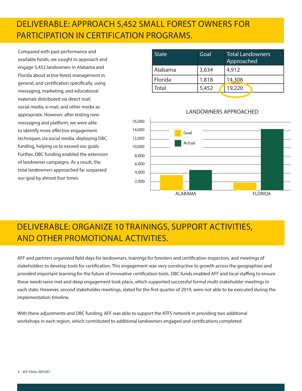#### DELIVERABLE: APPROACH 5,452 SMALL FOREST OWNERS FOR PARTICIPATION IN CERTIFICATION PROGRAMS.

Compared with past performance and available funds, we sought to approach and engage 5,452 landowners in Alabama and Florida about active forest management in general, and certification specifically, using messaging, marketing, and educational materials distributed via direct mail, social media, e-mail, and other media as appropriate. However, after testing new messaging and platform, we were able to identify more effective engagement techniques via social media, deploying DBC funding, helping us to exceed our goals. Further, DBC funding enabled the extension of landowner campaigns. As a result, the total landowners approached far surpassed our goal by almost four times.

| <b>State</b> | Goal  | <b>Total Landowners</b><br>Approached |
|--------------|-------|---------------------------------------|
| Alabama      | 3,634 | 4,912                                 |
| Florida      | 1,818 | 14,308                                |
| Total        | 5,452 | 19,220                                |
|              |       |                                       |

#### LANDOWNERS APPROACHED



### DELIVERABLE: ORGANIZE 10 TRAININGS, SUPPORT ACTIVITIES, AND OTHER PROMOTIONAL ACTIVITIES.

AFF and partners organized field days for landowners, trainings for foresters and certification inspectors, and meetings of stakeholders to develop tools for certification. This engagement was very constructive to growth across the geographies and provided important learning for the future of innovative certification tools. DBC funds enabled AFF and local staffing to ensure these needs were met and deep engagement took place, which supported successful formal multi-stakeholder meetings in each state. However, second stakeholder meetings, slated for the first quarter of 2019, were not able to be executed during the implementation timeline.

With these adjustments and DBC funding, AFF was able to support the ATFS network in providing two additional workshops in each region, which contributed to additional landowners engaged and certifications completed.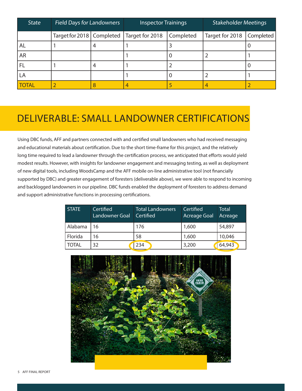| <b>State</b> | <b>Field Days for Landowners</b> |   | <b>Inspector Trainings</b> |           | <b>Stakeholder Meetings</b> |           |
|--------------|----------------------------------|---|----------------------------|-----------|-----------------------------|-----------|
|              | Target for 2018   Completed      |   | Target for 2018            | Completed | Target for 2018             | Completed |
| AL           |                                  |   |                            |           |                             |           |
| <b>AR</b>    |                                  |   |                            |           |                             |           |
| FL           |                                  | 4 |                            |           |                             |           |
| LA           |                                  |   |                            |           |                             |           |
| <b>TOTAL</b> |                                  |   |                            |           |                             |           |

### DELIVERABLE: SMALL LANDOWNER CERTIFICATIONS

Using DBC funds, AFF and partners connected with and certified small landowners who had received messaging and educational materials about certification. Due to the short time-frame for this project, and the relatively long time required to lead a landowner through the certification process, we anticipated that efforts would yield modest results. However, with insights for landowner engagement and messaging testing, as well as deployment of new digital tools, including WoodsCamp and the AFF mobile on-line administrative tool (not financially supported by DBC) and greater engagement of foresters (deliverable above), we were able to respond to incoming and backlogged landowners in our pipeline. DBC funds enabled the deployment of foresters to address demand and support administrative functions in processing certifications.

| <b>STATE</b> | Certified<br>Landowner Goal | <b>Total Landowners</b><br>Certified | Certified<br><b>Acreage Goal</b> | <b>Total</b><br>Acreage |
|--------------|-----------------------------|--------------------------------------|----------------------------------|-------------------------|
| Alabama      | 16                          | 176                                  | 1,600                            | 54,897                  |
| Florida      | 16                          | 58                                   | 1,600                            | 10,046                  |
| <b>TOTAL</b> | 32                          | 234                                  | 3,200                            | 64,943                  |

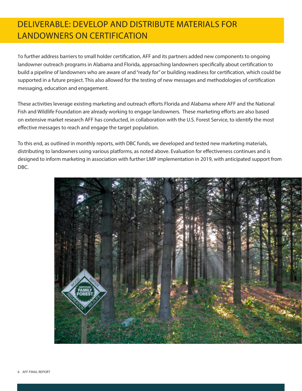#### DELIVERABLE: DEVELOP AND DISTRIBUTE MATERIALS FOR LANDOWNERS ON CERTIFICATION

To further address barriers to small holder certification, AFF and its partners added new components to ongoing landowner outreach programs in Alabama and Florida, approaching landowners specifically about certification to build a pipeline of landowners who are aware of and "ready for" or building readiness for certification, which could be supported in a future project. This also allowed for the testing of new messages and methodologies of certification messaging, education and engagement.

These activities leverage existing marketing and outreach efforts Florida and Alabama where AFF and the National Fish and Wildlife Foundation are already working to engage landowners. These marketing efforts are also based on extensive market research AFF has conducted, in collaboration with the U.S. Forest Service, to identify the most effective messages to reach and engage the target population.

To this end, as outlined in monthly reports, with DBC funds, we developed and tested new marketing materials, distributing to landowners using various platforms, as noted above. Evaluation for effectiveness continues and is designed to inform marketing in association with further LMP implementation in 2019, with anticipated support from DBC.

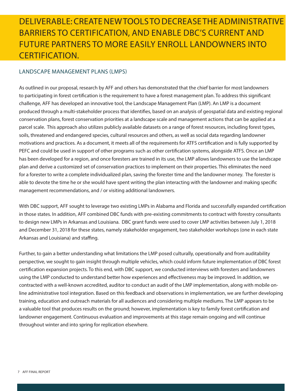#### DELIVERABLE: CREATE NEW TOOLS TO DECREASE THE ADMINISTRATIVE BARRIERS TO CERTIFICATION, AND ENABLE DBC'S CURRENT AND FUTURE PARTNERS TO MORE EASILY ENROLL LANDOWNERS INTO CERTIFICATION.

#### LANDSCAPE MANAGEMENT PLANS (LMPS)

As outlined in our proposal, research by AFF and others has demonstrated that the chief barrier for most landowners to participating in forest certification is the requirement to have a forest management plan. To address this significant challenge, AFF has developed an innovative tool, the Landscape Management Plan (LMP). An LMP is a document produced through a multi-stakeholder process that identifies, based on an analysis of geospatial data and existing regional conservation plans, forest conservation priorities at a landscape scale and management actions that can be applied at a parcel scale. This approach also utilizes publicly available datasets on a range of forest resources, including forest types, soils, threatened and endangered species, cultural resources and others, as well as social data regarding landowner motivations and practices. As a document, it meets all of the requirements for ATFS certification and is fully supported by PEFC and could be used in support of other programs such as other certification systems, alongside ATFS. Once an LMP has been developed for a region, and once foresters are trained in its use, the LMP allows landowners to use the landscape plan and derive a customized set of conservation practices to implement on their properties. This eliminates the need for a forester to write a complete individualized plan, saving the forester time and the landowner money. The forester is able to devote the time he or she would have spent writing the plan interacting with the landowner and making specific management recommendations, and / or visiting additional landowners.

With DBC support, AFF sought to leverage two existing LMPs in Alabama and Florida and successfully expanded certification in those states. In addition, AFF combined DBC funds with pre-existing commitments to contract with forestry consultants to design new LMPs in Arkansas and Louisiana. DBC grant funds were used to cover LMP activities between July 1, 2018 and December 31, 2018 for these states, namely stakeholder engagement, two stakeholder workshops (one in each state Arkansas and Louisiana) and staffing.

Further, to gain a better understanding what limitations the LMP posed culturally, operationally and from auditability perspective, we sought to gain insight through multiple vehicles, which could inform future implementation of DBC forest certification expansion projects. To this end, with DBC support, we conducted interviews with foresters and landowners using the LMP conducted to understand better how experiences and effectiveness may be improved. In addition, we contracted with a well-known accredited, auditor to conduct an audit of the LMP implementation, along with mobile online administrative tool integration. Based on this feedback and observations in implementation, we are further developing training, education and outreach materials for all audiences and considering multiple mediums. The LMP appears to be a valuable tool that produces results on the ground; however, implementation is key to family forest certification and landowner engagement. Continuous evaluation and improvements at this stage remain ongoing and will continue throughout winter and into spring for replication elsewhere.